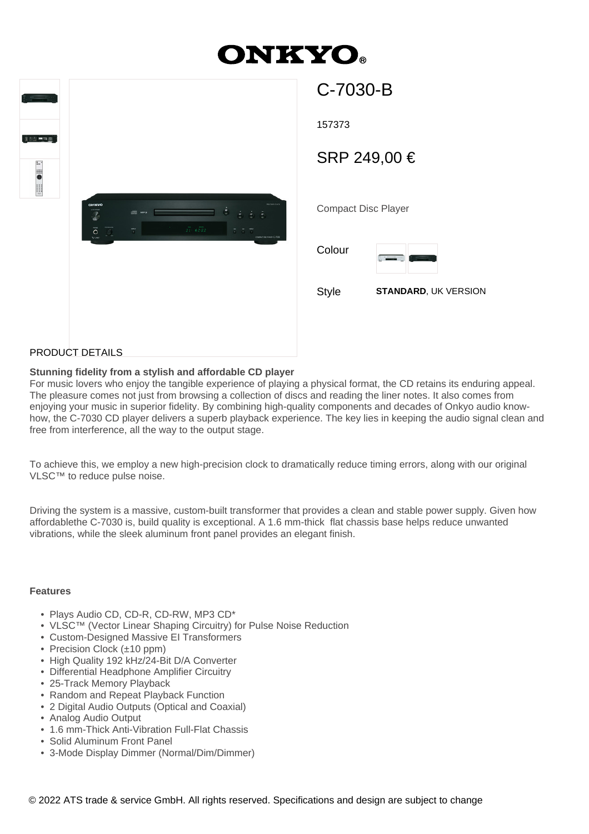# **DNKYO®**

| Turning the<br><b>906 - 30</b><br><b>Elle</b> em |                                                    |                                                                                      |                                                       |                                                              |
|--------------------------------------------------|----------------------------------------------------|--------------------------------------------------------------------------------------|-------------------------------------------------------|--------------------------------------------------------------|
|                                                  | ONEYO<br>$\overline{\mathsf{O}}$<br>$\overline{c}$ | <b>IN MPA</b><br>$\frac{1}{2}$ , $\frac{1}{2}$ , $\frac{1}{2}$<br>$\widetilde{\phi}$ | $\dot{\Theta}$<br>$\overline{21}$ - $\overline{6202}$ | monitore<br>ó.<br>ċ<br>÷<br>5.5.7<br>COMPACTORC PLASS C-7030 |

| C-7030-B                   |                             |  |  |  |
|----------------------------|-----------------------------|--|--|--|
| 157373                     |                             |  |  |  |
| SRP 249,00 €               |                             |  |  |  |
|                            |                             |  |  |  |
| <b>Compact Disc Player</b> |                             |  |  |  |
| Colour                     | R, re                       |  |  |  |
| Style                      | <b>STANDARD, UK VERSION</b> |  |  |  |
|                            |                             |  |  |  |
|                            |                             |  |  |  |

## PRODUCT DETAILS

#### **Stunning fidelity from a stylish and affordable CD player**

For music lovers who enjoy the tangible experience of playing a physical format, the CD retains its enduring appeal. The pleasure comes not just from browsing a collection of discs and reading the liner notes. It also comes from enjoying your music in superior fidelity. By combining high-quality components and decades of Onkyo audio knowhow, the C-7030 CD player delivers a superb playback experience. The key lies in keeping the audio signal clean and free from interference, all the way to the output stage.

To achieve this, we employ a new high-precision clock to dramatically reduce timing errors, along with our original VLSC™ to reduce pulse noise.

Driving the system is a massive, custom-built transformer that provides a clean and stable power supply. Given how affordablethe C-7030 is, build quality is exceptional. A 1.6 mm-thick flat chassis base helps reduce unwanted vibrations, while the sleek aluminum front panel provides an elegant finish.

## **Features**

- Plays Audio CD, CD-R, CD-RW, MP3 CD\*
- VLSC™ (Vector Linear Shaping Circuitry) for Pulse Noise Reduction
- Custom-Designed Massive EI Transformers
- Precision Clock (±10 ppm)
- High Quality 192 kHz/24-Bit D/A Converter
- Differential Headphone Amplifier Circuitry
- 25-Track Memory Playback
- Random and Repeat Playback Function
- 2 Digital Audio Outputs (Optical and Coaxial)
- Analog Audio Output
- 1.6 mm-Thick Anti-Vibration Full-Flat Chassis
- Solid Aluminum Front Panel
- 3-Mode Display Dimmer (Normal/Dim/Dimmer)